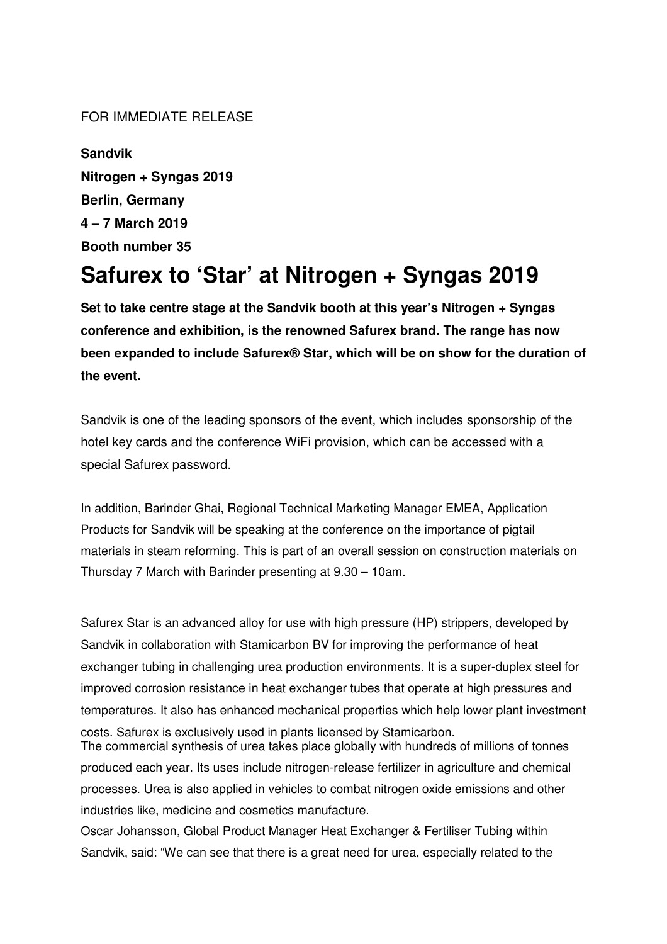## FOR IMMEDIATE RELEASE

**Sandvik Nitrogen + Syngas 2019 Berlin, Germany 4 – 7 March 2019 Booth number 35** 

# **Safurex to 'Star' at Nitrogen + Syngas 2019**

**Set to take centre stage at the Sandvik booth at this year's Nitrogen + Syngas conference and exhibition, is the renowned Safurex brand. The range has now been expanded to include Safurex® Star, which will be on show for the duration of the event.** 

Sandvik is one of the leading sponsors of the event, which includes sponsorship of the hotel key cards and the conference WiFi provision, which can be accessed with a special Safurex password.

In addition, Barinder Ghai, Regional Technical Marketing Manager EMEA, Application Products for Sandvik will be speaking at the conference on the importance of pigtail materials in steam reforming. This is part of an overall session on construction materials on Thursday 7 March with Barinder presenting at 9.30 – 10am.

Safurex Star is an advanced alloy for use with high pressure (HP) strippers, developed by Sandvik in collaboration with Stamicarbon BV for improving the performance of heat exchanger tubing in challenging urea production environments. It is a super-duplex steel for improved corrosion resistance in heat exchanger tubes that operate at high pressures and temperatures. It also has enhanced mechanical properties which help lower plant investment costs. Safurex is exclusively used in plants licensed by Stamicarbon. The commercial synthesis of urea takes place globally with hundreds of millions of tonnes produced each year. Its uses include nitrogen-release fertilizer in agriculture and chemical processes. Urea is also applied in vehicles to combat nitrogen oxide emissions and other industries like, medicine and cosmetics manufacture. Oscar Johansson, Global Product Manager Heat Exchanger & Fertiliser Tubing within Sandvik, said: "We can see that there is a great need for urea, especially related to the